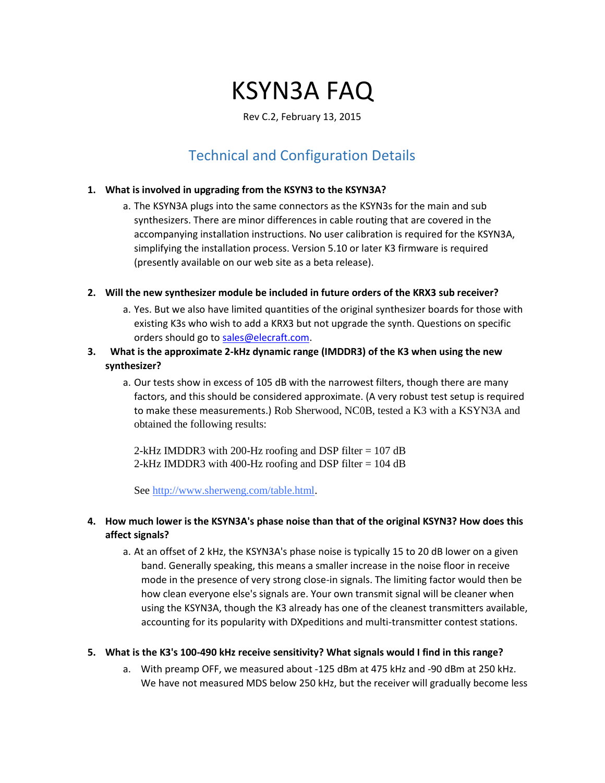# KSYN3A FAQ

### Rev C.2, February 13, 2015

# Technical and Configuration Details

### **1. What is involved in upgrading from the KSYN3 to the KSYN3A?**

a. The KSYN3A plugs into the same connectors as the KSYN3s for the main and sub synthesizers. There are minor differences in cable routing that are covered in the accompanying installation instructions. No user calibration is required for the KSYN3A, simplifying the installation process. Version 5.10 or later K3 firmware is required (presently available on our web site as a beta release).

### **2. Will the new synthesizer module be included in future orders of the KRX3 sub receiver?**

- a. Yes. But we also have limited quantities of the original synthesizer boards for those with existing K3s who wish to add a KRX3 but not upgrade the synth. Questions on specific orders should go to sales@elecraft.com.
- **3. What is the approximate 2-kHz dynamic range (IMDDR3) of the K3 when using the new synthesizer?**
	- a. Our tests show in excess of 105 dB with the narrowest filters, though there are many factors, and this should be considered approximate. (A very robust test setup is required to make these measurements.) Rob Sherwood, NC0B, tested a K3 with a KSYN3A and obtained the following results:

2-kHz IMDDR3 with 200-Hz roofing and DSP filter = 107 dB 2-kHz IMDDR3 with 400-Hz roofing and DSP filter = 104 dB

Se[e](http://www.sherweng.com/table.html) [http://www.sherweng.com/table.html.](http://www.sherweng.com/table.html)

# **4. How much lower is the KSYN3A's phase noise than that of the original KSYN3? How does this affect signals?**

a. At an offset of 2 kHz, the KSYN3A's phase noise is typically 15 to 20 dB lower on a given band. Generally speaking, this means a smaller increase in the noise floor in receive mode in the presence of very strong close-in signals. The limiting factor would then be how clean everyone else's signals are. Your own transmit signal will be cleaner when using the KSYN3A, though the K3 already has one of the cleanest transmitters available, accounting for its popularity with DXpeditions and multi-transmitter contest stations.

# **5. What is the K3's 100-490 kHz receive sensitivity? What signals would I find in this range?**

a. With preamp OFF, we measured about -125 dBm at 475 kHz and -90 dBm at 250 kHz. We have not measured MDS below 250 kHz, but the receiver will gradually become less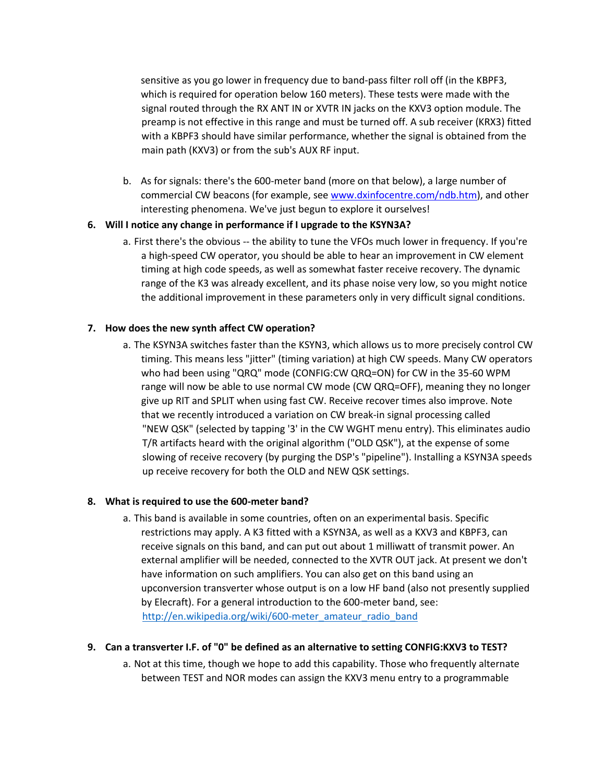sensitive as you go lower in frequency due to band-pass filter roll off (in the KBPF3, which is required for operation below 160 meters). These tests were made with the signal routed through the RX ANT IN or XVTR IN jacks on the KXV3 option module. The preamp is not effective in this range and must be turned off. A sub receiver (KRX3) fitted with a KBPF3 should have similar performance, whether the signal is obtained from the main path (KXV3) or from the sub's AUX RF input.

b. As for signals: there's the 600-meter band (more on that below), a large number of commercial CW beacons (for example, see [www.dxinfocentre.com/ndb.htm\),](http://www.dxinfocentre.com/ndb.htm) and other interesting phenomena. We've just begun to explore it ourselves!

### **6. Will I notice any change in performance if I upgrade to the KSYN3A?**

a. First there's the obvious -- the ability to tune the VFOs much lower in frequency. If you're a high-speed CW operator, you should be able to hear an improvement in CW element timing at high code speeds, as well as somewhat faster receive recovery. The dynamic range of the K3 was already excellent, and its phase noise very low, so you might notice the additional improvement in these parameters only in very difficult signal conditions.

### **7. How does the new synth affect CW operation?**

a. The KSYN3A switches faster than the KSYN3, which allows us to more precisely control CW timing. This means less "jitter" (timing variation) at high CW speeds. Many CW operators who had been using "QRQ" mode (CONFIG:CW QRQ=ON) for CW in the 35-60 WPM range will now be able to use normal CW mode (CW QRQ=OFF), meaning they no longer give up RIT and SPLIT when using fast CW. Receive recover times also improve. Note that we recently introduced a variation on CW break-in signal processing called "NEW QSK" (selected by tapping '3' in the CW WGHT menu entry). This eliminates audio T/R artifacts heard with the original algorithm ("OLD QSK"), at the expense of some slowing of receive recovery (by purging the DSP's "pipeline"). Installing a KSYN3A speeds up receive recovery for both the OLD and NEW QSK settings.

### **8. What is required to use the 600-meter band?**

a. This band is available in some countries, often on an experimental basis. Specific restrictions may apply. A K3 fitted with a KSYN3A, as well as a KXV3 and KBPF3, can receive signals on this band, and can put out about 1 milliwatt of transmit power. An external amplifier will be needed, connected to the XVTR OUT jack. At present we don't have information on such amplifiers. You can also get on this band using an upconversion transverter whose output is on a low HF band (also not presently supplied by Elecraft). For a general introduction to the 600-meter band, see: [http://en.wikipedia.org/wiki/600-meter\\_amateur\\_radio\\_band](http://en.wikipedia.org/wiki/600-meter_amateur_radio_band) 

### **9. Can a transverter I.F. of "0" be defined as an alternative to setting CONFIG:KXV3 to TEST?**

a. Not at this time, though we hope to add this capability. Those who frequently alternate between TEST and NOR modes can assign the KXV3 menu entry to a programmable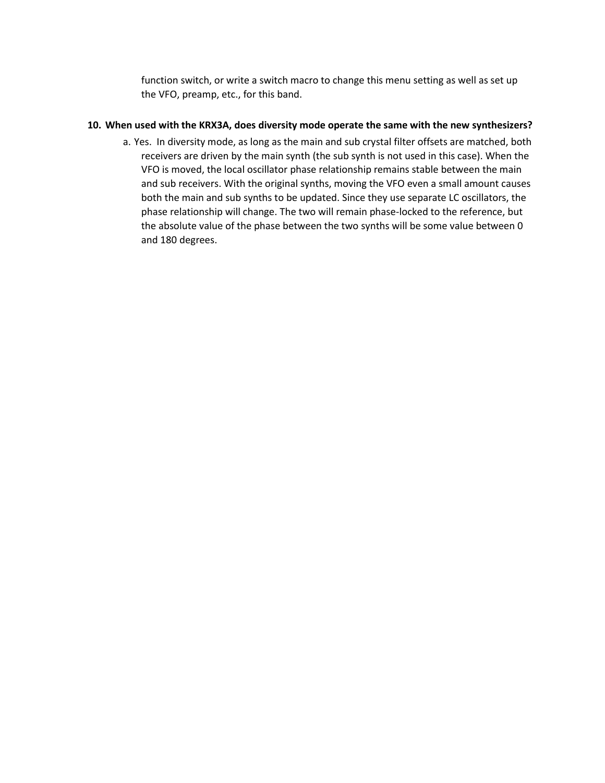function switch, or write a switch macro to change this menu setting as well as set up the VFO, preamp, etc., for this band.

### **10. When used with the KRX3A, does diversity mode operate the same with the new synthesizers?**

a. Yes. In diversity mode, as long as the main and sub crystal filter offsets are matched, both receivers are driven by the main synth (the sub synth is not used in this case). When the VFO is moved, the local oscillator phase relationship remains stable between the main and sub receivers. With the original synths, moving the VFO even a small amount causes both the main and sub synths to be updated. Since they use separate LC oscillators, the phase relationship will change. The two will remain phase-locked to the reference, but the absolute value of the phase between the two synths will be some value between 0 and 180 degrees.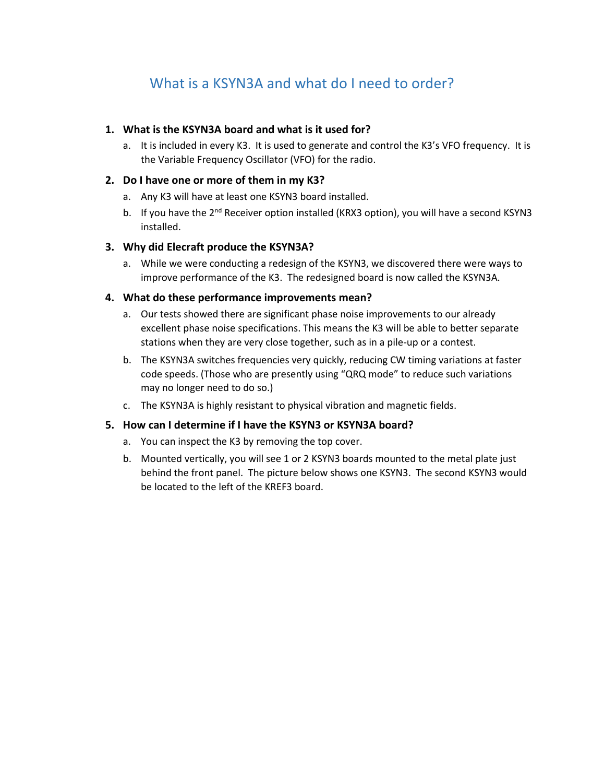# What is a KSYN3A and what do I need to order?

### **1. What is the KSYN3A board and what is it used for?**

a. It is included in every K3. It is used to generate and control the K3's VFO frequency. It is the Variable Frequency Oscillator (VFO) for the radio.

### **2. Do I have one or more of them in my K3?**

- a. Any K3 will have at least one KSYN3 board installed.
- b. If you have the 2<sup>nd</sup> Receiver option installed (KRX3 option), you will have a second KSYN3 installed.

### **3. Why did Elecraft produce the KSYN3A?**

a. While we were conducting a redesign of the KSYN3, we discovered there were ways to improve performance of the K3. The redesigned board is now called the KSYN3A.

### **4. What do these performance improvements mean?**

- a. Our tests showed there are significant phase noise improvements to our already excellent phase noise specifications. This means the K3 will be able to better separate stations when they are very close together, such as in a pile-up or a contest.
- b. The KSYN3A switches frequencies very quickly, reducing CW timing variations at faster code speeds. (Those who are presently using "QRQ mode" to reduce such variations may no longer need to do so.)
- c. The KSYN3A is highly resistant to physical vibration and magnetic fields.

# **5. How can I determine if I have the KSYN3 or KSYN3A board?**

- a. You can inspect the K3 by removing the top cover.
- b. Mounted vertically, you will see 1 or 2 KSYN3 boards mounted to the metal plate just behind the front panel. The picture below shows one KSYN3. The second KSYN3 would be located to the left of the KREF3 board.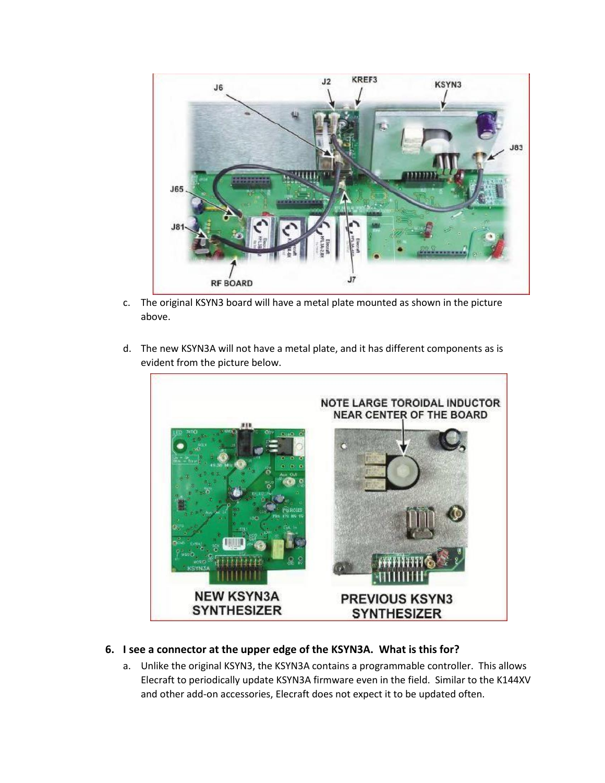

- c. The original KSYN3 board will have a metal plate mounted as shown in the picture above.
- d. The new KSYN3A will not have a metal plate, and it has different components as is evident from the picture below.



# **6. I see a connector at the upper edge of the KSYN3A. What is this for?**

a. Unlike the original KSYN3, the KSYN3A contains a programmable controller. This allows Elecraft to periodically update KSYN3A firmware even in the field. Similar to the K144XV and other add-on accessories, Elecraft does not expect it to be updated often.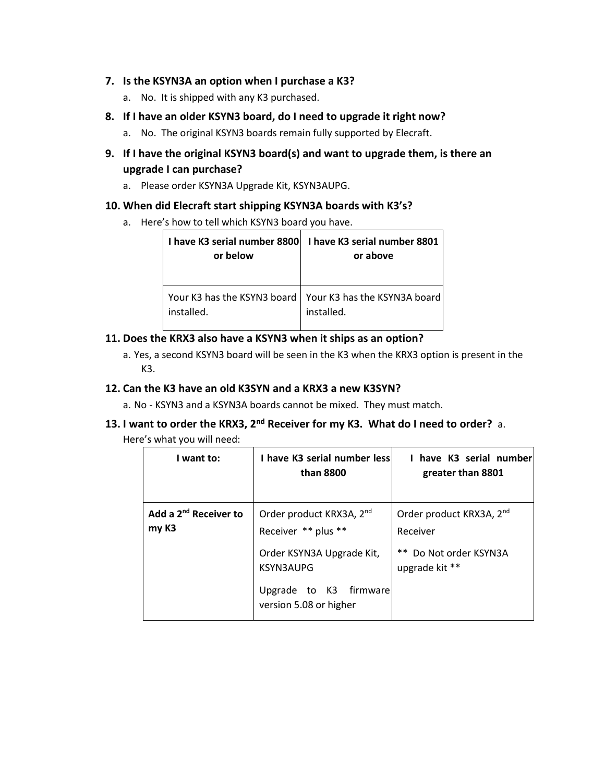# **7. Is the KSYN3A an option when I purchase a K3?**

- a. No. It is shipped with any K3 purchased.
- **8. If I have an older KSYN3 board, do I need to upgrade it right now?**
	- a. No. The original KSYN3 boards remain fully supported by Elecraft.
- **9. If I have the original KSYN3 board(s) and want to upgrade them, is there an upgrade I can purchase?** 
	- a. Please order KSYN3A Upgrade Kit, KSYN3AUPG.

### **10. When did Elecraft start shipping KSYN3A boards with K3's?**

a. Here's how to tell which KSYN3 board you have.

| or below   | I have K3 serial number 8800   I have K3 serial number 8801  <br>or above |
|------------|---------------------------------------------------------------------------|
| installed. | Your K3 has the KSYN3 board   Your K3 has the KSYN3A board<br>installed.  |

# **11. Does the KRX3 also have a KSYN3 when it ships as an option?**

a. Yes, a second KSYN3 board will be seen in the K3 when the KRX3 option is present in the  $K3$ .

### **12. Can the K3 have an old K3SYN and a KRX3 a new K3SYN?**

- a. No KSYN3 and a KSYN3A boards cannot be mixed. They must match.
- **13. I want to order the KRX3, 2nd Receiver for my K3. What do I need to order?** a.
	- Here's what you will need:

| I want to:                                 | I have K3 serial number less<br>than 8800                   | 1 have K3 serial number<br>greater than 8801     |
|--------------------------------------------|-------------------------------------------------------------|--------------------------------------------------|
| Add a 2 <sup>nd</sup> Receiver to<br>my K3 | Order product KRX3A, 2 <sup>nd</sup><br>Receiver ** plus ** | Order product KRX3A, 2 <sup>nd</sup><br>Receiver |
|                                            | Order KSYN3A Upgrade Kit,<br><b>KSYN3AUPG</b>               | ** Do Not order KSYN3A<br>upgrade kit **         |
|                                            | Upgrade to K3<br>firmware<br>version 5.08 or higher         |                                                  |